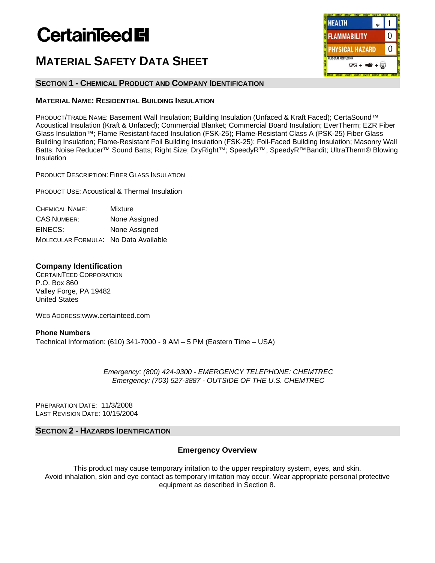# **CertainTeed El**

# **MATERIAL SAFETY DATA SHEET**

# **SECTION 1 - CHEMICAL PRODUCT AND COMPANY IDENTIFICATION**

# **MATERIAL NAME: RESIDENTIAL BUILDING INSULATION**

PRODUCT/TRADE NAME: Basement Wall Insulation; Building Insulation (Unfaced & Kraft Faced); CertaSound™ Acoustical Insulation (Kraft & Unfaced); Commercial Blanket; Commercial Board Insulation; EverTherm; EZR Fiber Glass Insulation™; Flame Resistant-faced Insulation (FSK-25); Flame-Resistant Class A (PSK-25) Fiber Glass Building Insulation; Flame-Resistant Foil Building Insulation (FSK-25); Foil-Faced Building Insulation; Masonry Wall Batts; Noise Reducer™ Sound Batts; Right Size; DryRight™; SpeedyR™; SpeedyR™Bandit; UltraTherm® Blowing Insulation

PRODUCT DESCRIPTION: FIBER GLASS INSULATION

PRODUCT USE: Acoustical & Thermal Insulation

| <b>CHEMICAL NAME:</b>                | Mixture       |
|--------------------------------------|---------------|
| <b>CAS NUMBER:</b>                   | None Assigned |
| EINECS:                              | None Assigned |
| MOLECULAR FORMULA: No Data Available |               |

# **Company Identification**

CERTAINTEED CORPORATION P.O. Box 860 Valley Forge, PA 19482 United States

WEB ADDRESS:www.certainteed.com

# **Phone Numbers**  Technical Information: (610) 341-7000 - 9 AM – 5 PM (Eastern Time – USA)

*Emergency: (800) 424-9300 - EMERGENCY TELEPHONE: CHEMTREC Emergency: (703) 527-3887 - OUTSIDE OF THE U.S. CHEMTREC* 

PREPARATION DATE: 11/3/2008 LAST REVISION DATE: 10/15/2004

# **SECTION 2 - HAZARDS IDENTIFICATION**

# **Emergency Overview**

This product may cause temporary irritation to the upper respiratory system, eyes, and skin. Avoid inhalation, skin and eye contact as temporary irritation may occur. Wear appropriate personal protective equipment as described in Section 8.

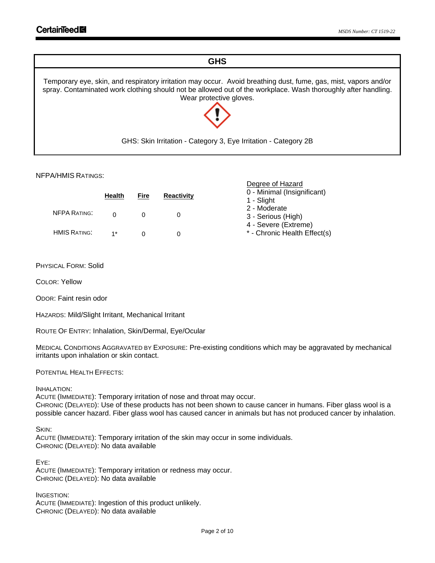# **GHS**

Temporary eye, skin, and respiratory irritation may occur. Avoid breathing dust, fume, gas, mist, vapors and/or spray. Contaminated work clothing should not be allowed out of the workplace. Wash thoroughly after handling. Wear protective gloves.



GHS: Skin Irritation - Category 3, Eye Irritation - Category 2B

Degree of Hazard

# NFPA/HMIS RATINGS:

|                     | <b>Health</b> | Fire | <b>Reactivity</b> | 0 - Minimal (Insignificant)<br>1 - Slight            |
|---------------------|---------------|------|-------------------|------------------------------------------------------|
| <b>NFPA RATING:</b> |               |      |                   | 2 - Moderate<br>3 - Serious (High)                   |
| <b>HMIS RATING:</b> | $1*$          |      |                   | 4 - Severe (Extreme)<br>* - Chronic Health Effect(s) |

PHYSICAL FORM: Solid

COLOR: Yellow

ODOR: Faint resin odor

HAZARDS: Mild/Slight Irritant, Mechanical Irritant

ROUTE OF ENTRY: Inhalation, Skin/Dermal, Eye/Ocular

MEDICAL CONDITIONS AGGRAVATED BY EXPOSURE: Pre-existing conditions which may be aggravated by mechanical irritants upon inhalation or skin contact.

POTENTIAL HEALTH EFFECTS:

INHALATION:

ACUTE (IMMEDIATE): Temporary irritation of nose and throat may occur. CHRONIC (DELAYED): Use of these products has not been shown to cause cancer in humans. Fiber glass wool is a possible cancer hazard. Fiber glass wool has caused cancer in animals but has not produced cancer by inhalation.

SKIN:

ACUTE (IMMEDIATE): Temporary irritation of the skin may occur in some individuals. CHRONIC (DELAYED): No data available

EYE: ACUTE (IMMEDIATE): Temporary irritation or redness may occur. CHRONIC (DELAYED): No data available

INGESTION: ACUTE (IMMEDIATE): Ingestion of this product unlikely. CHRONIC (DELAYED): No data available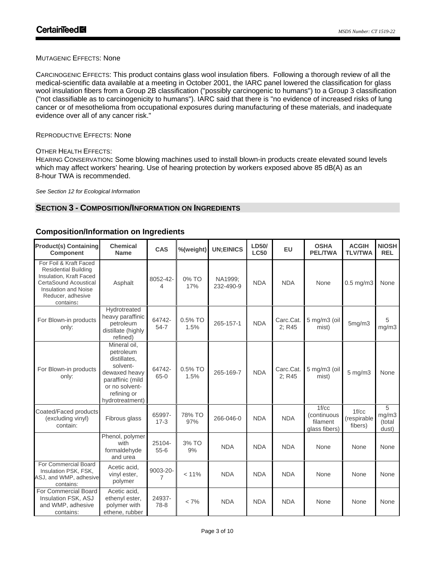# MUTAGENIC EFFECTS: None

CARCINOGENIC EFFECTS: This product contains glass wool insulation fibers. Following a thorough review of all the medical-scientific data available at a meeting in October 2001, the IARC panel lowered the classification for glass wool insulation fibers from a Group 2B classification ("possibly carcinogenic to humans") to a Group 3 classification ("not classifiable as to carcinogenicity to humans"). IARC said that there is "no evidence of increased risks of lung cancer or of mesothelioma from occupational exposures during manufacturing of these materials, and inadequate evidence over all of any cancer risk."

# REPRODUCTIVE EFFECTS: None

# OTHER HEALTH EFFECTS:

HEARING CONSERVATION**:** Some blowing machines used to install blown-in products create elevated sound levels which may affect workers' hearing. Use of hearing protection by workers exposed above 85 dB(A) as an 8-hour TWA is recommended.

*See Section 12 for Ecological Information*

# **SECTION 3 - COMPOSITION/INFORMATION ON INGREDIENTS**

| <b>Product(s) Containing</b><br><b>Component</b>                                                                                                                           | <b>Chemical</b><br><b>Name</b>                                                                                                                 | CAS                | %(weight)       | <b>UN;EINICS</b>     | LD50/<br><b>LC50</b> | <b>EU</b>           | <b>OSHA</b><br><b>PEL/TWA</b>                     | <b>ACGIH</b><br><b>TLV/TWA</b>  | <b>NIOSH</b><br><b>REL</b>    |
|----------------------------------------------------------------------------------------------------------------------------------------------------------------------------|------------------------------------------------------------------------------------------------------------------------------------------------|--------------------|-----------------|----------------------|----------------------|---------------------|---------------------------------------------------|---------------------------------|-------------------------------|
| For Foil & Kraft Faced<br><b>Residential Building</b><br>Insulation, Kraft Faced<br>CertaSound Acoustical<br><b>Insulation and Noise</b><br>Reducer, adhesive<br>contains: | Asphalt                                                                                                                                        | 8052-42-<br>4      | 0% TO<br>17%    | NA1999;<br>232-490-9 | <b>NDA</b>           | <b>NDA</b>          | None                                              | $0.5$ mg/m $3$                  | None                          |
| For Blown-in products<br>only:                                                                                                                                             | Hydrotreated<br>heavy paraffinic<br>petroleum<br>distillate (highly<br>refined)                                                                | 64742-<br>$54 - 7$ | 0.5% TO<br>1.5% | 265-157-1            | <b>NDA</b>           | Carc.Cat.<br>2; R45 | 5 mg/m3 (oil<br>mist)                             | 5mg/m3                          | 5<br>mg/m3                    |
| For Blown-in products<br>only:                                                                                                                                             | Mineral oil.<br>petroleum<br>distillates.<br>solvent-<br>dewaxed heavy<br>paraffinic (mild<br>or no solvent-<br>refining or<br>hydrotreatment) | 64742-<br>$65-0$   | 0.5% TO<br>1.5% | 265-169-7            | <b>NDA</b>           | Carc.Cat.<br>2; R45 | 5 mg/m3 (oil<br>mist)                             | 5 mg/m3                         | None                          |
| Coated/Faced products<br>(excluding vinyl)<br>contain:                                                                                                                     | Fibrous glass                                                                                                                                  | 65997-<br>$17 - 3$ | 78% TO<br>97%   | 266-046-0            | <b>NDA</b>           | <b>NDA</b>          | 1f/cc<br>(continuous<br>filament<br>glass fibers) | 1f/cc<br>(respirable<br>fibers) | 5<br>mg/m3<br>(total<br>dust) |
|                                                                                                                                                                            | Phenol, polymer<br>with<br>formaldehyde<br>and urea                                                                                            | 25104-<br>$55 - 6$ | 3% TO<br>9%     | <b>NDA</b>           | <b>NDA</b>           | <b>NDA</b>          | None                                              | None                            | None                          |
| For Commercial Board<br>Insulation PSK, FSK,<br>ASJ, and WMP, adhesive<br>contains:                                                                                        | Acetic acid,<br>vinyl ester,<br>polymer                                                                                                        | 9003-20-<br>7      | < 11%           | <b>NDA</b>           | <b>NDA</b>           | <b>NDA</b>          | None                                              | None                            | None                          |
| For Commercial Board<br>Insulation FSK, ASJ<br>and WMP, adhesive<br>contains:                                                                                              | Acetic acid,<br>ethenyl ester,<br>polymer with<br>ethene, rubber                                                                               | 24937-<br>78-8     | $< 7\%$         | <b>NDA</b>           | <b>NDA</b>           | <b>NDA</b>          | None                                              | None                            | None                          |

# **Composition/Information on Ingredients**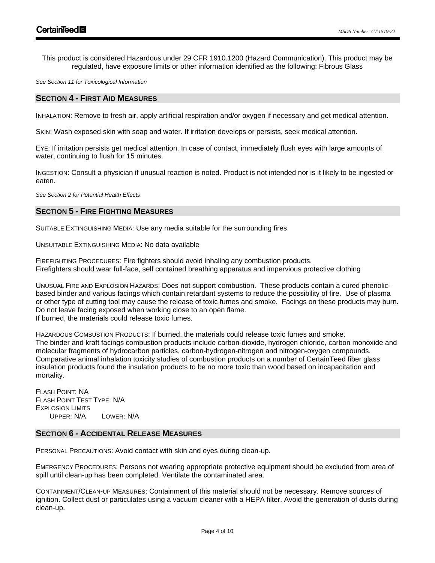This product is considered Hazardous under 29 CFR 1910.1200 (Hazard Communication). This product may be regulated, have exposure limits or other information identified as the following: Fibrous Glass

*See Section 11 for Toxicological Information* 

# **SECTION 4 - FIRST AID MEASURES**

INHALATION: Remove to fresh air, apply artificial respiration and/or oxygen if necessary and get medical attention.

SKIN: Wash exposed skin with soap and water. If irritation develops or persists, seek medical attention.

EYE: If irritation persists get medical attention. In case of contact, immediately flush eyes with large amounts of water, continuing to flush for 15 minutes.

INGESTION: Consult a physician if unusual reaction is noted. Product is not intended nor is it likely to be ingested or eaten.

*See Section 2 for Potential Health Effects*

# **SECTION 5 - FIRE FIGHTING MEASURES**

SUITABLE EXTINGUISHING MEDIA: Use any media suitable for the surrounding fires

UNSUITABLE EXTINGUISHING MEDIA: No data available

FIREFIGHTING PROCEDURES: Fire fighters should avoid inhaling any combustion products. Firefighters should wear full-face, self contained breathing apparatus and impervious protective clothing

UNUSUAL FIRE AND EXPLOSION HAZARDS: Does not support combustion. These products contain a cured phenolicbased binder and various facings which contain retardant systems to reduce the possibility of fire. Use of plasma or other type of cutting tool may cause the release of toxic fumes and smoke. Facings on these products may burn. Do not leave facing exposed when working close to an open flame. If burned, the materials could release toxic fumes.

HAZARDOUS COMBUSTION PRODUCTS: If burned, the materials could release toxic fumes and smoke. The binder and kraft facings combustion products include carbon-dioxide, hydrogen chloride, carbon monoxide and molecular fragments of hydrocarbon particles, carbon-hydrogen-nitrogen and nitrogen-oxygen compounds. Comparative animal inhalation toxicity studies of combustion products on a number of CertainTeed fiber glass insulation products found the insulation products to be no more toxic than wood based on incapacitation and mortality.

FLASH POINT: NA FLASH POINT TEST TYPE: N/A EXPLOSION LIMITS UPPER: N/A LOWER: N/A

# **SECTION 6 - ACCIDENTAL RELEASE MEASURES**

PERSONAL PRECAUTIONS: Avoid contact with skin and eyes during clean-up.

EMERGENCY PROCEDURES: Persons not wearing appropriate protective equipment should be excluded from area of spill until clean-up has been completed. Ventilate the contaminated area.

CONTAINMENT/CLEAN-UP MEASURES: Containment of this material should not be necessary. Remove sources of ignition. Collect dust or particulates using a vacuum cleaner with a HEPA filter. Avoid the generation of dusts during clean-up.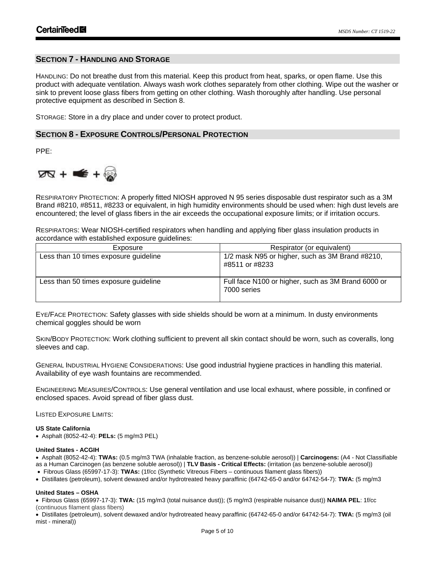# **SECTION 7 - HANDLING AND STORAGE**

HANDLING: Do not breathe dust from this material. Keep this product from heat, sparks, or open flame. Use this product with adequate ventilation. Always wash work clothes separately from other clothing. Wipe out the washer or sink to prevent loose glass fibers from getting on other clothing. Wash thoroughly after handling. Use personal protective equipment as described in Section 8.

STORAGE: Store in a dry place and under cover to protect product.

# **SECTION 8 - EXPOSURE CONTROLS/PERSONAL PROTECTION**

PPE:



RESPIRATORY PROTECTION: A properly fitted NIOSH approved N 95 series disposable dust respirator such as a 3M Brand #8210, #8511, #8233 or equivalent, in high humidity environments should be used when: high dust levels are encountered; the level of glass fibers in the air exceeds the occupational exposure limits; or if irritation occurs.

RESPIRATORS: Wear NIOSH-certified respirators when handling and applying fiber glass insulation products in accordance with established exposure guidelines:

| Exposure                              | Respirator (or equivalent)                                        |
|---------------------------------------|-------------------------------------------------------------------|
| Less than 10 times exposure guideline | 1/2 mask N95 or higher, such as 3M Brand #8210,<br>#8511 or #8233 |
| Less than 50 times exposure guideline | Full face N100 or higher, such as 3M Brand 6000 or<br>7000 series |

EYE/FACE PROTECTION: Safety glasses with side shields should be worn at a minimum. In dusty environments chemical goggles should be worn

SKIN/BODY PROTECTION: Work clothing sufficient to prevent all skin contact should be worn, such as coveralls, long sleeves and cap.

GENERAL INDUSTRIAL HYGIENE CONSIDERATIONS: Use good industrial hygiene practices in handling this material. Availability of eye wash fountains are recommended.

ENGINEERING MEASURES/CONTROLS: Use general ventilation and use local exhaust, where possible, in confined or enclosed spaces. Avoid spread of fiber glass dust.

LISTED EXPOSURE LIMITS:

#### **US State California**

• Asphalt (8052-42-4): **PELs:** (5 mg/m3 PEL)

#### **United States - ACGIH**

• Asphalt (8052-42-4): **TWAs:** (0.5 mg/m3 TWA (inhalable fraction, as benzene-soluble aerosol)) | **Carcinogens:** (A4 - Not Classifiable as a Human Carcinogen (as benzene soluble aerosol)) | **TLV Basis - Critical Effects:** (irritation (as benzene-soluble aerosol))

- Fibrous Glass (65997-17-3): **TWAs:** (1f/cc (Synthetic Vitreous Fibers continuous filament glass fibers))
- Distillates (petroleum), solvent dewaxed and/or hydrotreated heavy paraffinic (64742-65-0 and/or 64742-54-7): **TWA:** (5 mg/m3

#### **United States – OSHA**

• Fibrous Glass (65997-17-3): **TWA:** (15 mg/m3 (total nuisance dust)); (5 mg/m3 (respirable nuisance dust)) **NAIMA PEL**: 1f/cc (continuous filament glass fibers)

• Distillates (petroleum), solvent dewaxed and/or hydrotreated heavy paraffinic (64742-65-0 and/or 64742-54-7): **TWA:** (5 mg/m3 (oil mist - mineral))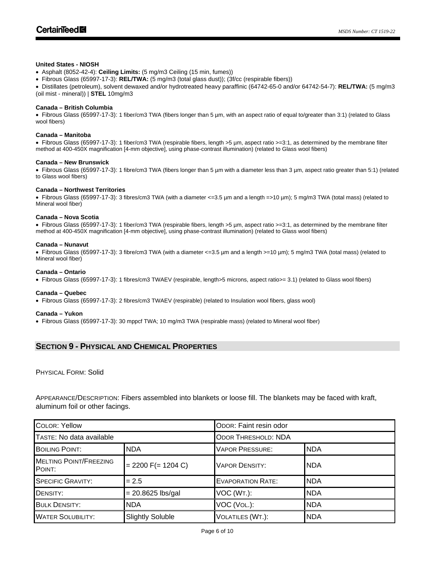#### **United States - NIOSH**

• Asphalt (8052-42-4): **Ceiling Limits:** (5 mg/m3 Ceiling (15 min, fumes))

• Fibrous Glass (65997-17-3): **REL/TWA:** (5 mg/m3 (total glass dust)); (3f/cc (respirable fibers))

• Distillates (petroleum), solvent dewaxed and/or hydrotreated heavy paraffinic (64742-65-0 and/or 64742-54-7): **REL/TWA:** (5 mg/m3 (oil mist - mineral)) | **STEL** 10mg/m3

#### **Canada – British Columbia**

• Fibrous Glass (65997-17-3): 1 fiber/cm3 TWA (fibers longer than 5 µm, with an aspect ratio of equal to/greater than 3:1) (related to Glass wool fibers)

#### **Canada – Manitoba**

• Fibrous Glass (65997-17-3): 1 fiber/cm3 TWA (respirable fibers, length >5 µm, aspect ratio >=3:1, as determined by the membrane filter method at 400-450X magnification [4-mm objective], using phase-contrast illumination) (related to Glass wool fibers)

#### **Canada – New Brunswick**

• Fibrous Glass (65997-17-3): 1 fibre/cm3 TWA (fibers longer than 5 µm with a diameter less than 3 µm, aspect ratio greater than 5:1) (related to Glass wool fibers)

#### **Canada – Northwest Territories**

• Fibrous Glass (65997-17-3): 3 fibres/cm3 TWA (with a diameter <=3.5 µm and a length =>10 µm); 5 mg/m3 TWA (total mass) (related to Mineral wool fiber)

#### **Canada – Nova Scotia**

• Fibrous Glass (65997-17-3): 1 fiber/cm3 TWA (respirable fibers, length >5 µm, aspect ratio >=3:1, as determined by the membrane filter method at 400-450X magnification [4-mm objective], using phase-contrast illumination) (related to Glass wool fibers)

#### **Canada – Nunavut**

• Fibrous Glass (65997-17-3): 3 fibre/cm3 TWA (with a diameter <=3.5 µm and a length >=10 µm); 5 mg/m3 TWA (total mass) (related to Mineral wool fiber)

#### **Canada – Ontario**

• Fibrous Glass (65997-17-3): 1 fibres/cm3 TWAEV (respirable, length>5 microns, aspect ratio>= 3.1) (related to Glass wool fibers)

#### **Canada – Quebec**

• Fibrous Glass (65997-17-3): 2 fibres/cm3 TWAEV (respirable) (related to Insulation wool fibers, glass wool)

#### **Canada – Yukon**

• Fibrous Glass (65997-17-3): 30 mppcf TWA; 10 mg/m3 TWA (respirable mass) (related to Mineral wool fiber)

# **SECTION 9 - PHYSICAL AND CHEMICAL PROPERTIES**

# PHYSICAL FORM: Solid

APPEARANCE/DESCRIPTION: Fibers assembled into blankets or loose fill. The blankets may be faced with kraft, aluminum foil or other facings.

| <b>COLOR: Yellow</b>                    |                         | ODOR: Faint resin odor     |             |  |  |
|-----------------------------------------|-------------------------|----------------------------|-------------|--|--|
| TASTE: No data available                |                         | <b>ODOR THRESHOLD: NDA</b> |             |  |  |
| <b>BOILING POINT:</b>                   | <b>NDA</b>              | <b>VAPOR PRESSURE:</b>     | <b>NDA</b>  |  |  |
| <b>MELTING POINT/FREEZING</b><br>POINT: | $= 2200$ F(= 1204 C)    | <b>VAPOR DENSITY:</b>      | <b>NDA</b>  |  |  |
| <b>SPECIFIC GRAVITY:</b>                | $= 2.5$                 | <b>EVAPORATION RATE:</b>   | <b>INDA</b> |  |  |
| DENSITY:                                | $= 20.8625$ lbs/gal     | VOC (WT.):                 | <b>NDA</b>  |  |  |
| <b>BULK DENSITY:</b>                    | <b>NDA</b>              | VOC (VOL.):                | <b>NDA</b>  |  |  |
| <b>WATER SOLUBILITY:</b>                | <b>Slightly Soluble</b> | VOLATILES (WT.):           | <b>NDA</b>  |  |  |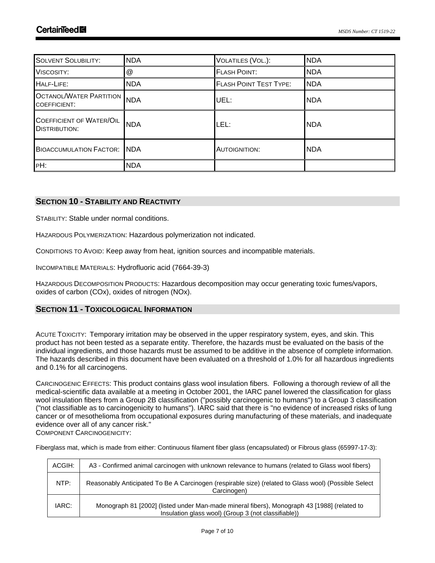| <b>SOLVENT SOLUBILITY:</b>                            | <b>NDA</b>                | VOLATILES (VOL.):             | <b>NDA</b> |
|-------------------------------------------------------|---------------------------|-------------------------------|------------|
| VISCOSITY:                                            | $^\text{\textregistered}$ | <b>FLASH POINT:</b>           | <b>NDA</b> |
| HALF-LIFE:                                            | <b>NDA</b>                | <b>FLASH POINT TEST TYPE:</b> | <b>NDA</b> |
| <b>OCTANOL/WATER PARTITION</b><br><b>COEFFICIENT:</b> | NDA                       | UEL:                          | <b>NDA</b> |
| COEFFICIENT OF WATER/OIL<br><b>DISTRIBUTION:</b>      | <b>NDA</b>                | LEL:                          | <b>NDA</b> |
| <b>BIOACCUMULATION FACTOR: NDA</b>                    |                           | <b>AUTOIGNITION:</b>          | <b>NDA</b> |
| PH:                                                   | <b>NDA</b>                |                               |            |

# **SECTION 10 - STABILITY AND REACTIVITY**

STABILITY: Stable under normal conditions.

HAZARDOUS POLYMERIZATION: Hazardous polymerization not indicated.

CONDITIONS TO AVOID: Keep away from heat, ignition sources and incompatible materials.

INCOMPATIBLE MATERIALS: Hydrofluoric acid (7664-39-3)

HAZARDOUS DECOMPOSITION PRODUCTS: Hazardous decomposition may occur generating toxic fumes/vapors, oxides of carbon (COx), oxides of nitrogen (NOx).

# **SECTION 11 - TOXICOLOGICAL INFORMATION**

ACUTE TOXICITY: Temporary irritation may be observed in the upper respiratory system, eyes, and skin. This product has not been tested as a separate entity. Therefore, the hazards must be evaluated on the basis of the individual ingredients, and those hazards must be assumed to be additive in the absence of complete information. The hazards described in this document have been evaluated on a threshold of 1.0% for all hazardous ingredients and 0.1% for all carcinogens.

CARCINOGENIC EFFECTS: This product contains glass wool insulation fibers. Following a thorough review of all the medical-scientific data available at a meeting in October 2001, the IARC panel lowered the classification for glass wool insulation fibers from a Group 2B classification ("possibly carcinogenic to humans") to a Group 3 classification ("not classifiable as to carcinogenicity to humans"). IARC said that there is "no evidence of increased risks of lung cancer or of mesothelioma from occupational exposures during manufacturing of these materials, and inadequate evidence over all of any cancer risk."

COMPONENT CARCINOGENICITY:

Fiberglass mat, which is made from either: Continuous filament fiber glass (encapsulated) or Fibrous glass (65997-17-3):

| ACGIH: | A3 - Confirmed animal carcinogen with unknown relevance to humans (related to Glass wool fibers)                                                   |
|--------|----------------------------------------------------------------------------------------------------------------------------------------------------|
| NTP:   | Reasonably Anticipated To Be A Carcinogen (respirable size) (related to Glass wool) (Possible Select<br>Carcinogen)                                |
| IARC:  | Monograph 81 [2002] (listed under Man-made mineral fibers), Monograph 43 [1988] (related to<br>Insulation glass wool) (Group 3 (not classifiable)) |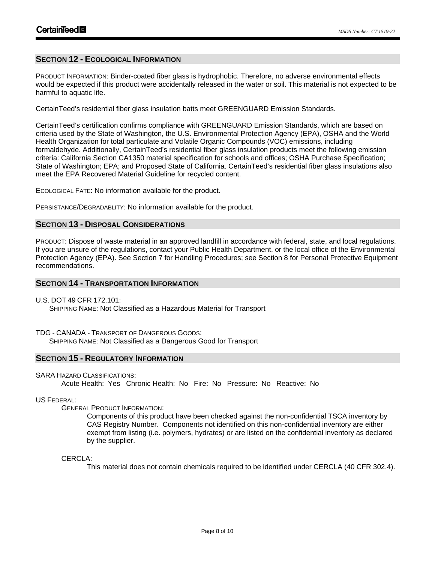# **SECTION 12 - ECOLOGICAL INFORMATION**

PRODUCT INFORMATION: Binder-coated fiber glass is hydrophobic. Therefore, no adverse environmental effects would be expected if this product were accidentally released in the water or soil. This material is not expected to be harmful to aquatic life.

CertainTeed's residential fiber glass insulation batts meet GREENGUARD Emission Standards.

CertainTeed's certification confirms compliance with GREENGUARD Emission Standards, which are based on criteria used by the State of Washington, the U.S. Environmental Protection Agency (EPA), OSHA and the World Health Organization for total particulate and Volatile Organic Compounds (VOC) emissions, including formaldehyde. Additionally, CertainTeed's residential fiber glass insulation products meet the following emission criteria: California Section CA1350 material specification for schools and offices; OSHA Purchase Specification; State of Washington; EPA; and Proposed State of California. CertainTeed's residential fiber glass insulations also meet the EPA Recovered Material Guideline for recycled content.

ECOLOGICAL FATE: No information available for the product.

PERSISTANCE/DEGRADABLITY: No information available for the product.

# **SECTION 13 - DISPOSAL CONSIDERATIONS**

PRODUCT: Dispose of waste material in an approved landfill in accordance with federal, state, and local regulations. If you are unsure of the regulations, contact your Public Health Department, or the local office of the Environmental Protection Agency (EPA). See Section 7 for Handling Procedures; see Section 8 for Personal Protective Equipment recommendations.

# **SECTION 14 - TRANSPORTATION INFORMATION**

U.S. DOT 49 CFR 172.101:

SHIPPING NAME: Not Classified as a Hazardous Material for Transport

TDG - CANADA - TRANSPORT OF DANGEROUS GOODS:

SHIPPING NAME: Not Classified as a Dangerous Good for Transport

# **SECTION 15 - REGULATORY INFORMATION**

SARA HAZARD CLASSIFICATIONS:

Acute Health: Yes Chronic Health: No Fire: No Pressure: No Reactive: No

# US FEDERAL:

GENERAL PRODUCT INFORMATION:

Components of this product have been checked against the non-confidential TSCA inventory by CAS Registry Number. Components not identified on this non-confidential inventory are either exempt from listing (i.e. polymers, hydrates) or are listed on the confidential inventory as declared by the supplier.

# CERCLA:

This material does not contain chemicals required to be identified under CERCLA (40 CFR 302.4).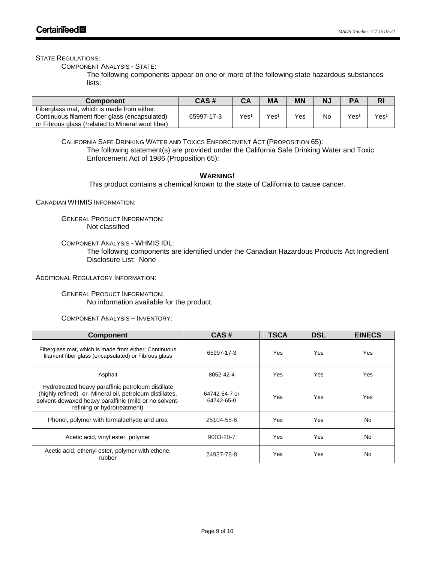STATE REGULATIONS:

COMPONENT ANALYSIS - STATE:

The following components appear on one or more of the following state hazardous substances lists:

| <b>Component</b>                                                                                                                                   | CAS#       | CА  | <b>MA</b>        | <b>MN</b> | Ν.        | PА               | RI   |
|----------------------------------------------------------------------------------------------------------------------------------------------------|------------|-----|------------------|-----------|-----------|------------------|------|
| Fiberglass mat, which is made from either:<br>Continuous filament fiber glass (encapsulated)<br>or Fibrous glass (1 related to Mineral wool fiber) | 65997-17-3 | Yes | Yes <sup>1</sup> | Yes       | <b>No</b> | Yes <sup>1</sup> | Yes1 |

CALIFORNIA SAFE DRINKING WATER AND TOXICS ENFORCEMENT ACT (PROPOSITION 65): The following statement(s) are provided under the California Safe Drinking Water and Toxic Enforcement Act of 1986 (Proposition 65):

# **WARNING!**

This product contains a chemical known to the state of California to cause cancer.

CANADIAN WHMIS INFORMATION:

GENERAL PRODUCT INFORMATION: Not classified

COMPONENT ANALYSIS - WHMIS IDL:

The following components are identified under the Canadian Hazardous Products Act Ingredient Disclosure List: None

ADDITIONAL REGULATORY INFORMATION:

GENERAL PRODUCT INFORMATION: No information available for the product.

COMPONENT ANALYSIS – INVENTORY:

| <b>Component</b>                                                                                                                                                                                        | CAS#                        | <b>TSCA</b> | <b>DSL</b> | <b>EINECS</b> |
|---------------------------------------------------------------------------------------------------------------------------------------------------------------------------------------------------------|-----------------------------|-------------|------------|---------------|
| Fiberglass mat, which is made from either: Continuous<br>filament fiber glass (encapsulated) or Fibrous glass                                                                                           | 65997-17-3                  | Yes         | Yes        | Yes           |
| Asphalt                                                                                                                                                                                                 | 8052-42-4                   | Yes         | Yes        | Yes           |
| Hydrotreated heavy paraffinic petroleum distillate<br>(highly refined) -or- Mineral oil, petroleum distillates,<br>solvent-dewaxed heavy paraffinic (mild or no solvent-<br>refining or hydrotreatment) | 64742-54-7 or<br>64742-65-0 | Yes         | <b>Yes</b> | Yes           |
| Phenol, polymer with formaldehyde and urea                                                                                                                                                              | 25104-55-6                  | Yes         | <b>Yes</b> | <b>No</b>     |
| Acetic acid, vinyl ester, polymer                                                                                                                                                                       | 9003-20-7                   | Yes         | Yes        | No.           |
| Acetic acid, ethenyl ester, polymer with ethene,<br>rubber                                                                                                                                              | 24937-78-8                  | Yes         | Yes        | <b>No</b>     |